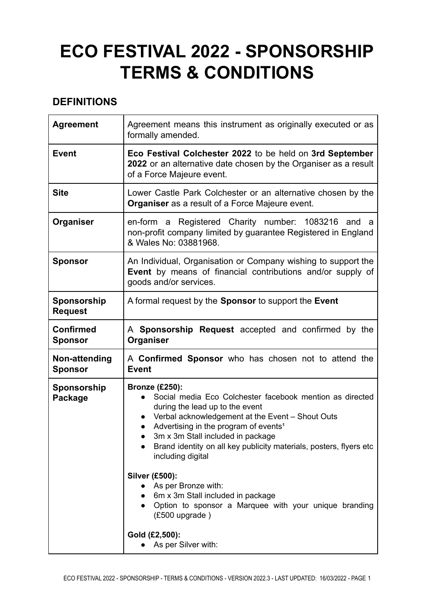# **ECO FESTIVAL 2022 - SPONSORSHIP TERMS & CONDITIONS**

# **DEFINITIONS**

| <b>Agreement</b>                   | Agreement means this instrument as originally executed or as<br>formally amended.                                                                                                                                                                                                                                                                                                                                                                                                                                                                                                   |
|------------------------------------|-------------------------------------------------------------------------------------------------------------------------------------------------------------------------------------------------------------------------------------------------------------------------------------------------------------------------------------------------------------------------------------------------------------------------------------------------------------------------------------------------------------------------------------------------------------------------------------|
| <b>Event</b>                       | Eco Festival Colchester 2022 to be held on 3rd September<br>2022 or an alternative date chosen by the Organiser as a result<br>of a Force Majeure event.                                                                                                                                                                                                                                                                                                                                                                                                                            |
| <b>Site</b>                        | Lower Castle Park Colchester or an alternative chosen by the<br><b>Organiser</b> as a result of a Force Majeure event.                                                                                                                                                                                                                                                                                                                                                                                                                                                              |
| Organiser                          | en-form a Registered Charity number: 1083216 and<br>a<br>non-profit company limited by guarantee Registered in England<br>& Wales No: 03881968.                                                                                                                                                                                                                                                                                                                                                                                                                                     |
| <b>Sponsor</b>                     | An Individual, Organisation or Company wishing to support the<br>Event by means of financial contributions and/or supply of<br>goods and/or services.                                                                                                                                                                                                                                                                                                                                                                                                                               |
| Sponsorship<br><b>Request</b>      | A formal request by the <b>Sponsor</b> to support the <b>Event</b>                                                                                                                                                                                                                                                                                                                                                                                                                                                                                                                  |
| <b>Confirmed</b><br><b>Sponsor</b> | A Sponsorship Request accepted and confirmed by the<br>Organiser                                                                                                                                                                                                                                                                                                                                                                                                                                                                                                                    |
| Non-attending<br><b>Sponsor</b>    | A Confirmed Sponsor who has chosen not to attend the<br><b>Event</b>                                                                                                                                                                                                                                                                                                                                                                                                                                                                                                                |
| Sponsorship<br>Package             | <b>Bronze (£250):</b><br>Social media Eco Colchester facebook mention as directed<br>during the lead up to the event<br>Verbal acknowledgement at the Event - Shout Outs<br>$\bullet$<br>Advertising in the program of events <sup>1</sup><br>3m x 3m Stall included in package<br>Brand identity on all key publicity materials, posters, flyers etc<br>including digital<br><b>Silver (£500):</b><br>As per Bronze with:<br>6m x 3m Stall included in package<br>Option to sponsor a Marquee with your unique branding<br>(£500 upgrade)<br>Gold (£2,500):<br>As per Silver with: |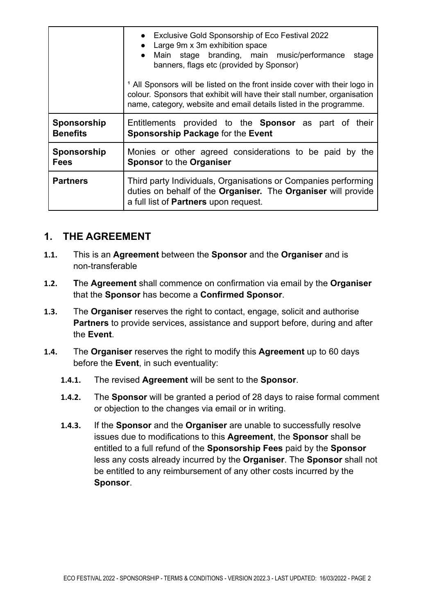|                 | • Exclusive Gold Sponsorship of Eco Festival 2022<br>• Large 9m x 3m exhibition space<br>• Main stage branding, main music/performance stage<br>banners, flags etc (provided by Sponsor)<br><sup>1</sup> All Sponsors will be listed on the front inside cover with their logo in<br>colour. Sponsors that exhibit will have their stall number, organisation<br>name, category, website and email details listed in the programme. |
|-----------------|-------------------------------------------------------------------------------------------------------------------------------------------------------------------------------------------------------------------------------------------------------------------------------------------------------------------------------------------------------------------------------------------------------------------------------------|
| Sponsorship     | Entitlements provided to the <b>Sponsor</b> as part of their                                                                                                                                                                                                                                                                                                                                                                        |
| <b>Benefits</b> | Sponsorship Package for the Event                                                                                                                                                                                                                                                                                                                                                                                                   |
| Sponsorship     | Monies or other agreed considerations to be paid by the                                                                                                                                                                                                                                                                                                                                                                             |
| <b>Fees</b>     | <b>Sponsor to the Organiser</b>                                                                                                                                                                                                                                                                                                                                                                                                     |
| <b>Partners</b> | Third party Individuals, Organisations or Companies performing<br>duties on behalf of the Organiser. The Organiser will provide<br>a full list of Partners upon request.                                                                                                                                                                                                                                                            |

#### **1. THE AGREEMENT**

- **1.1.** This is an **Agreement** between the **Sponsor** and the **Organiser** and is non-transferable
- **1.2. T**he **Agreement** shall commence on confirmation via email by the **Organiser** that the **Sponsor** has become a **Confirmed Sponsor**.
- **1.3.** The **Organiser** reserves the right to contact, engage, solicit and authorise **Partners** to provide services, assistance and support before, during and after the **Event**.
- **1.4.** The **Organiser** reserves the right to modify this **Agreement** up to 60 days before the **Event**, in such eventuality:
	- **1.4.1.** The revised **Agreement** will be sent to the **Sponsor**.
	- **1.4.2.** The **Sponsor** will be granted a period of 28 days to raise formal comment or objection to the changes via email or in writing.
	- **1.4.3.** If the **Sponsor** and the **Organiser** are unable to successfully resolve issues due to modifications to this **Agreement**, the **Sponsor** shall be entitled to a full refund of the **Sponsorship Fees** paid by the **Sponsor** less any costs already incurred by the **Organiser**. The **Sponsor** shall not be entitled to any reimbursement of any other costs incurred by the **Sponsor**.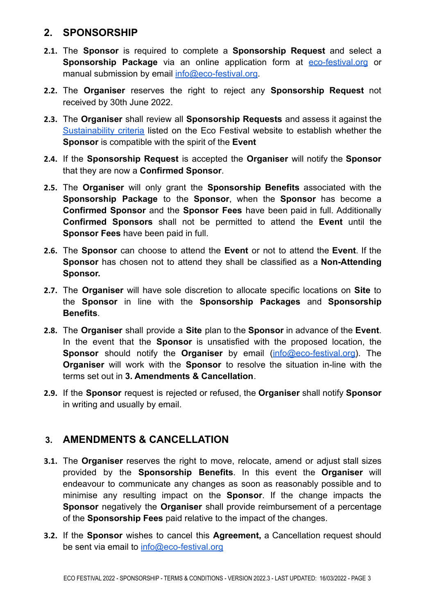#### **2. SPONSORSHIP**

- **2.1.** The **Sponsor** is required to complete a **Sponsorship Request** and select a **Sponsorship Package** via an online application form at [eco-festival.org](https://www.eco-festival.org) or manual submission by email [info@eco-festival.org](mailto:info@eco-festival.org).
- **2.2.** The **Organiser** reserves the right to reject any **Sponsorship Request** not received by 30th June 2022.
- **2.3.** The **Organiser** shall review all **Sponsorship Requests** and assess it against the [Sustainability](https://www.eco-festival.org/stallholders-and-catering/) criteria listed on the Eco Festival website to establish whether the **Sponsor** is compatible with the spirit of the **Event**
- **2.4.** If the **Sponsorship Request** is accepted the **Organiser** will notify the **Sponsor** that they are now a **Confirmed Sponsor**.
- **2.5.** The **Organiser** will only grant the **Sponsorship Benefits** associated with the **Sponsorship Package** to the **Sponsor**, when the **Sponsor** has become a **Confirmed Sponsor** and the **Sponsor Fees** have been paid in full. Additionally **Confirmed Sponsors** shall not be permitted to attend the **Event** until the **Sponsor Fees** have been paid in full.
- **2.6.** The **Sponsor** can choose to attend the **Event** or not to attend the **Event**. If the **Sponsor** has chosen not to attend they shall be classified as a **Non-Attending Sponsor.**
- **2.7.** The **Organiser** will have sole discretion to allocate specific locations on **Site** to the **Sponsor** in line with the **Sponsorship Packages** and **Sponsorship Benefits**.
- **2.8.** The **Organiser** shall provide a **Site** plan to the **Sponsor** in advance of the **Event**. In the event that the **Sponsor** is unsatisfied with the proposed location, the **Sponsor** should notify the **Organiser** by email [\(info@eco-festival.org\)](mailto:info@eco-festival.org). The **Organiser** will work with the **Sponsor** to resolve the situation in-line with the terms set out in **3. Amendments & Cancellation**.
- **2.9.** If the **Sponsor** request is rejected or refused, the **Organiser** shall notify **Sponsor** in writing and usually by email.

## **3. AMENDMENTS & CANCELLATION**

- **3.1.** The **Organiser** reserves the right to move, relocate, amend or adjust stall sizes provided by the **Sponsorship Benefits**. In this event the **Organiser** will endeavour to communicate any changes as soon as reasonably possible and to minimise any resulting impact on the **Sponsor**. If the change impacts the **Sponsor** negatively the **Organiser** shall provide reimbursement of a percentage of the **Sponsorship Fees** paid relative to the impact of the changes.
- **3.2.** If the **Sponsor** wishes to cancel this **Agreement,** a Cancellation request should be sent via email to [info@eco-festival.org](mailto:info@eco-festival.org)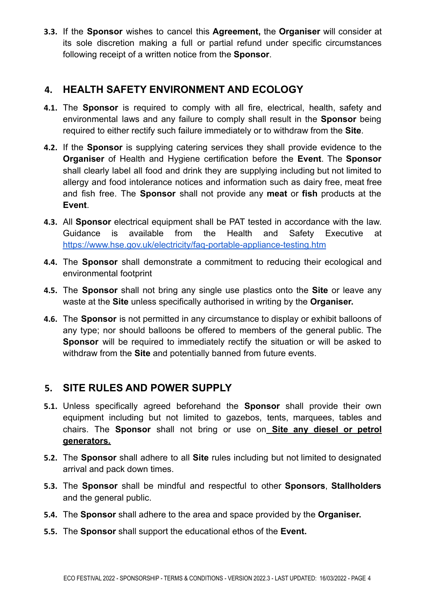**3.3.** If the **Sponsor** wishes to cancel this **Agreement,** the **Organiser** will consider at its sole discretion making a full or partial refund under specific circumstances following receipt of a written notice from the **Sponsor**.

## **4. HEALTH SAFETY ENVIRONMENT AND ECOLOGY**

- **4.1.** The **Sponsor** is required to comply with all fire, electrical, health, safety and environmental laws and any failure to comply shall result in the **Sponsor** being required to either rectify such failure immediately or to withdraw from the **Site**.
- **4.2.** If the **Sponsor** is supplying catering services they shall provide evidence to the **Organiser** of Health and Hygiene certification before the **Event**. The **Sponsor** shall clearly label all food and drink they are supplying including but not limited to allergy and food intolerance notices and information such as dairy free, meat free and fish free. The **Sponsor** shall not provide any **meat** or **fish** products at the **Event**.
- **4.3.** All **Sponsor** electrical equipment shall be PAT tested in accordance with the law. Guidance is available from the Health and Safety Executive at <https://www.hse.gov.uk/electricity/faq-portable-appliance-testing.htm>
- **4.4.** The **Sponsor** shall demonstrate a commitment to reducing their ecological and environmental footprint
- **4.5.** The **Sponsor** shall not bring any single use plastics onto the **Site** or leave any waste at the **Site** unless specifically authorised in writing by the **Organiser.**
- **4.6.** The **Sponsor** is not permitted in any circumstance to display or exhibit balloons of any type; nor should balloons be offered to members of the general public. The **Sponsor** will be required to immediately rectify the situation or will be asked to withdraw from the **Site** and potentially banned from future events.

# **5. SITE RULES AND POWER SUPPLY**

- **5.1.** Unless specifically agreed beforehand the **Sponsor** shall provide their own equipment including but not limited to gazebos, tents, marquees, tables and chairs. The **Sponsor** shall not bring or use on **Site any diesel or petrol generators.**
- **5.2.** The **Sponsor** shall adhere to all **Site** rules including but not limited to designated arrival and pack down times.
- **5.3.** The **Sponsor** shall be mindful and respectful to other **Sponsors**, **Stallholders** and the general public.
- **5.4.** The **Sponsor** shall adhere to the area and space provided by the **Organiser.**
- **5.5.** The **Sponsor** shall support the educational ethos of the **Event.**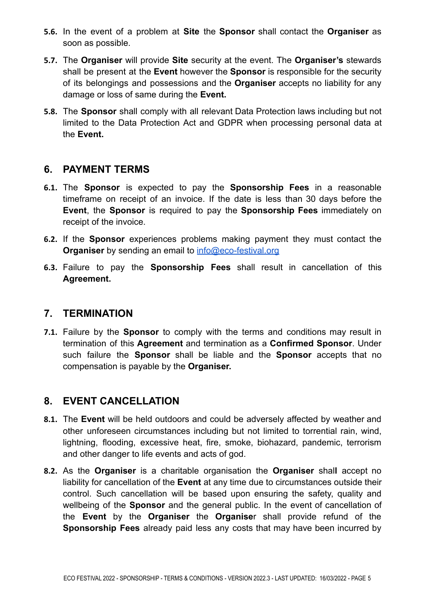- **5.6.** In the event of a problem at **Site** the **Sponsor** shall contact the **Organiser** as soon as possible.
- **5.7.** The **Organiser** will provide **Site** security at the event. The **Organiser's** stewards shall be present at the **Event** however the **Sponsor** is responsible for the security of its belongings and possessions and the **Organiser** accepts no liability for any damage or loss of same during the **Event.**
- **5.8.** The **Sponsor** shall comply with all relevant Data Protection laws including but not limited to the Data Protection Act and GDPR when processing personal data at the **Event.**

#### **6. PAYMENT TERMS**

- **6.1.** The **Sponsor** is expected to pay the **Sponsorship Fees** in a reasonable timeframe on receipt of an invoice. If the date is less than 30 days before the **Event**, the **Sponsor** is required to pay the **Sponsorship Fees** immediately on receipt of the invoice.
- **6.2.** If the **Sponsor** experiences problems making payment they must contact the **Organiser** by sending an email to **[info@eco-festival.org](mailto:info@eco-festival.org)**
- **6.3.** Failure to pay the **Sponsorship Fees** shall result in cancellation of this **Agreement.**

## **7. TERMINATION**

**7.1.** Failure by the **Sponsor** to comply with the terms and conditions may result in termination of this **Agreement** and termination as a **Confirmed Sponsor**. Under such failure the **Sponsor** shall be liable and the **Sponsor** accepts that no compensation is payable by the **Organiser.**

## **8. EVENT CANCELLATION**

- **8.1.** The **Event** will be held outdoors and could be adversely affected by weather and other unforeseen circumstances including but not limited to torrential rain, wind, lightning, flooding, excessive heat, fire, smoke, biohazard, pandemic, terrorism and other danger to life events and acts of god.
- **8.2.** As the **Organiser** is a charitable organisation the **Organiser** shal**l** accept no liability for cancellation of the **Event** at any time due to circumstances outside their control. Such cancellation will be based upon ensuring the safety, quality and wellbeing of the **Sponsor** and the general public. In the event of cancellation of the **Event** by the **Organiser** the **Organise**r shall provide refund of the **Sponsorship Fees** already paid less any costs that may have been incurred by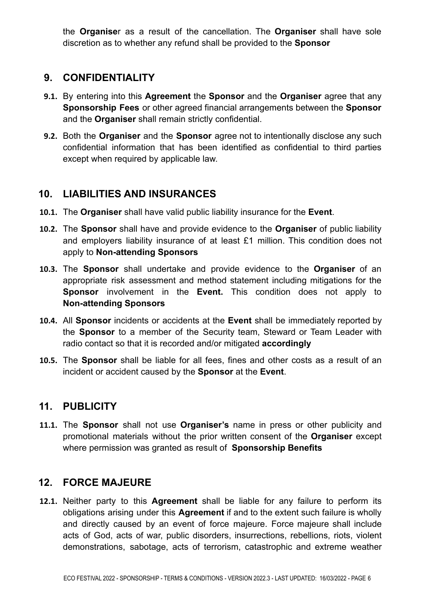the **Organise**r as a result of the cancellation. The **Organiser** shall have sole discretion as to whether any refund shall be provided to the **Sponsor**

## **9. CONFIDENTIALITY**

- **9.1.** By entering into this **Agreement** the **Sponsor** and the **Organiser** agree that any **Sponsorship Fees** or other agreed financial arrangements between the **Sponsor** and the **Organiser** shall remain strictly confidential.
- **9.2.** Both the **Organiser** and the **Sponsor** agree not to intentionally disclose any such confidential information that has been identified as confidential to third parties except when required by applicable law.

# **10. LIABILITIES AND INSURANCES**

- **10.1.** The **Organiser** shall have valid public liability insurance for the **Event**.
- **10.2.** The **Sponsor** shall have and provide evidence to the **Organiser** of public liability and employers liability insurance of at least £1 million. This condition does not apply to **Non-attending Sponsors**
- **10.3.** The **Sponsor** shall undertake and provide evidence to the **Organiser** of an appropriate risk assessment and method statement including mitigations for the **Sponsor** involvement in the **Event.** This condition does not apply to **Non-attending Sponsors**
- **10.4.** All **Sponsor** incidents or accidents at the **Event** shall be immediately reported by the **Sponsor** to a member of the Security team, Steward or Team Leader with radio contact so that it is recorded and/or mitigated **accordingly**
- **10.5.** The **Sponsor** shall be liable for all fees, fines and other costs as a result of an incident or accident caused by the **Sponsor** at the **Event**.

# **11. PUBLICITY**

**11.1.** The **Sponsor** shall not use **Organiser's** name in press or other publicity and promotional materials without the prior written consent of the **Organiser** except where permission was granted as result of **Sponsorship Benefits**

# **12. FORCE MAJEURE**

**12.1.** Neither party to this **Agreement** shall be liable for any failure to perform its obligations arising under this **Agreement** if and to the extent such failure is wholly and directly caused by an event of force majeure. Force majeure shall include acts of God, acts of war, public disorders, insurrections, rebellions, riots, violent demonstrations, sabotage, acts of terrorism, catastrophic and extreme weather